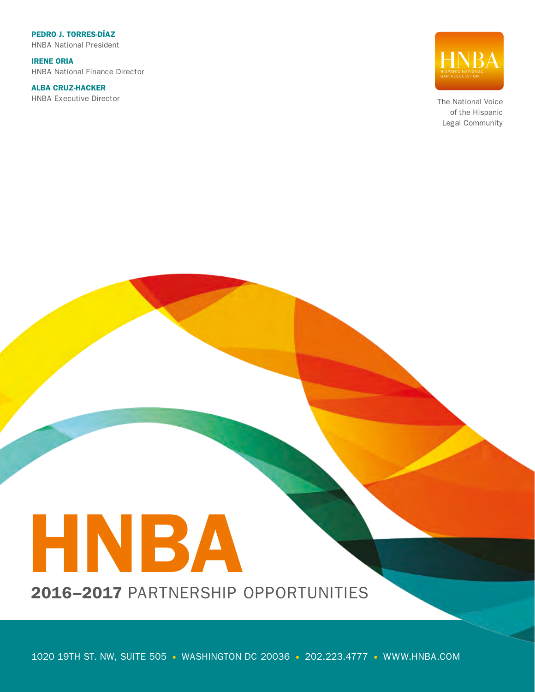PEDRO J. TORRES-DÍAZ HNBA National President

IRENE ORIA HNBA National Finance Director

ALBA CRUZ-HACKER HNBA Executive Director



The National Voice of the Hispanic Legal Community

# HNBA

2016–2017 PARTNERSHIP OPPORTUNITIES

1020 19TH ST. NW, SUITE 505 · WASHINGTON DC 20036 · 202.223.4777 · WWW.HNBA.COM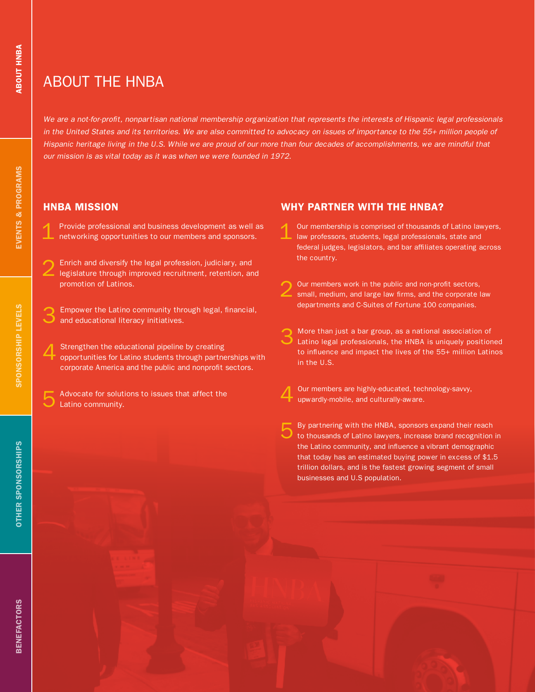# ABOUT THE HNBA

*We are a not-for-profit, nonpartisan national membership organization that represents the interests of Hispanic legal professionals*  in the United States and its territories. We are also committed to advocacy on issues of importance to the 55+ million people of *Hispanic heritage living in the U.S. While we are proud of our more than four decades of accomplishments, we are mindful that our mission is as vital today as it was when we were founded in 1972.* 

### HNBA MISSION

- Provide professional and business development as well as networking opportunities to our members and sponsors.
- 2 Enrich and diversify the legal profession, judiciary, and legislature through improved recruitment, retention, and promotion of Latinos.
- Empower the Latino community through legal, financial, and educational literacy initiatives.
- Strengthen the educational pipeline by creating opportunities for Latino students through partnerships with corporate America and the public and nonprofit sectors.
- Advocate for solutions to issues that affect the Latino community.

### WHY PARTNER WITH THE HNBA?

- Our membership is comprised of thousands of Latino lawyers, law professors, students, legal professionals, state and federal judges, legislators, and bar affiliates operating across the country.
- 2 Our members work in the public and non-profit sectors, small, medium, and large law firms, and the corporate law departments and C-Suites of Fortune 100 companies.
- More than just a bar group, as a national association of Latino legal professionals, the HNBA is uniquely positioned to influence and impact the lives of the 55+ million Latinos in the U.S.
- Our members are highly-educated, technology-savvy, upwardly-mobile, and culturally-aware.
- By partnering with the HNBA, sponsors expand their reach to thousands of Latino lawyers, increase brand recognition in the Latino community, and influence a vibrant demographic that today has an estimated buying power in excess of \$1.5 trillion dollars, and is the fastest growing segment of small businesses and U.S population.

**ABOUT HNBA**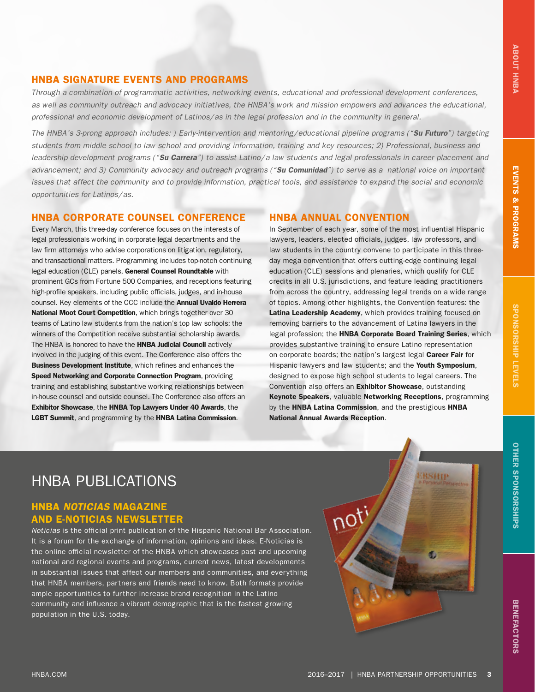### HNBA SIGNATURE EVENTS AND PROGRAMS

*Through a combination of programmatic activities, networking events, educational and professional development conferences, as well as community outreach and advocacy initiatives, the HNBA's work and mission empowers and advances the educational, professional and economic development of Latinos/as in the legal profession and in the community in general.* 

*The HNBA's 3-prong approach includes: ) Early-intervention and mentoring/educational pipeline programs ("Su Futuro") targeting students from middle school to law school and providing information, training and key resources; 2) Professional, business and leadership development programs ("Su Carrera") to assist Latino/a law students and legal professionals in career placement and advancement; and 3) Community advocacy and outreach programs ("Su Comunidad") to serve as a national voice on important issues that affect the community and to provide information, practical tools, and assistance to expand the social and economic opportunities for Latinos/as.*

### HNBA CORPORATE COUNSEL CONFERENCE

Every March, this three-day conference focuses on the interests of legal professionals working in corporate legal departments and the law firm attorneys who advise corporations on litigation, regulatory, and transactional matters. Programming includes top-notch continuing legal education (CLE) panels, General Counsel Roundtable with prominent GCs from Fortune 500 Companies, and receptions featuring high-profile speakers, including public officials, judges, and in-house counsel. Key elements of the CCC include the Annual Uvaldo Herrera National Moot Court Competition, which brings together over 30 teams of Latino law students from the nation's top law schools; the winners of the Competition receive substantial scholarship awards. The HNBA is honored to have the **HNBA Judicial Council** actively involved in the judging of this event. The Conference also offers the Business Development Institute, which refines and enhances the Speed Networking and Corporate Connection Program, providing training and establishing substantive working relationships between in-house counsel and outside counsel. The Conference also offers an Exhibitor Showcase, the HNBA Top Lawyers Under 40 Awards, the LGBT Summit, and programming by the HNBA Latina Commission.

### HNBA ANNUAL CONVENTION

In September of each year, some of the most influential Hispanic lawyers, leaders, elected officials, judges, law professors, and law students in the country convene to participate in this threeday mega convention that offers cutting-edge continuing legal education (CLE) sessions and plenaries, which qualify for CLE credits in all U.S. jurisdictions, and feature leading practitioners from across the country, addressing legal trends on a wide range of topics. Among other highlights, the Convention features: the Latina Leadership Academy, which provides training focused on removing barriers to the advancement of Latina lawyers in the legal profession; the HNBA Corporate Board Training Series, which provides substantive training to ensure Latino representation on corporate boards; the nation's largest legal Career Fair for Hispanic lawyers and law students; and the Youth Symposium, designed to expose high school students to legal careers. The Convention also offers an Exhibitor Showcase, outstanding Keynote Speakers, valuable Networking Receptions, programming by the HNBA Latina Commission, and the prestigious HNBA National Annual Awards Reception.

# HNBA PUBLICATIONS

### HNBA *NOTICIAS* MAGAZINE AND E-NOTICIAS NEWSLETTER

*Noticias* is the official print publication of the Hispanic National Bar Association. It is a forum for the exchange of information, opinions and ideas. E-Noticias is the online official newsletter of the HNBA which showcases past and upcoming national and regional events and programs, current news, latest developments in substantial issues that affect our members and communities, and everything that HNBA members, partners and friends need to know. Both formats provide ample opportunities to further increase brand recognition in the Latino community and influence a vibrant demographic that is the fastest growing population in the U.S. today.

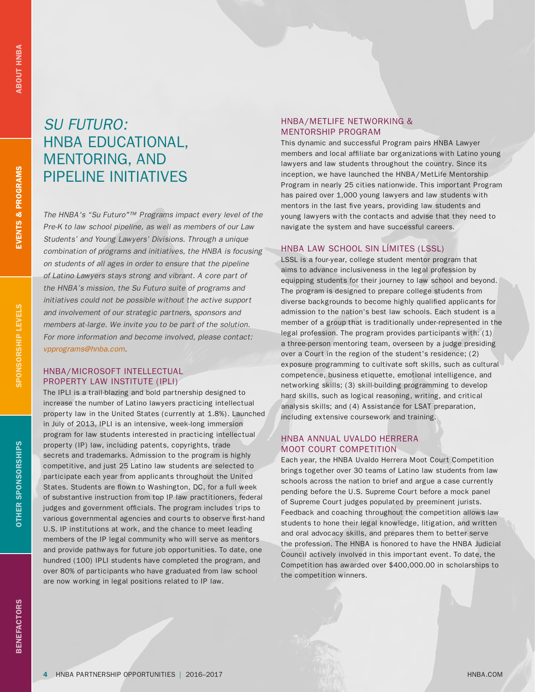**EVENTS & PROGRAMS** 

SPONSORSHIP LEVELS

# *SU FUTURO:* HNBA EDUCATIONAL, MENTORING, AND PIPELINE INITIATIVES

*The HNBA's "Su Futuro"™ Programs impact every level of the Pre-K to law school pipeline, as well as members of our Law Students' and Young Lawyers' Divisions. Through a unique combination of programs and initiatives, the HNBA is focusing on students of all ages in order to ensure that the pipeline of Latino Lawyers stays strong and vibrant. A core part of the HNBA's mission, the Su Futuro suite of programs and initiatives could not be possible without the active support and involvement of our strategic partners, sponsors and members at-large. We invite you to be part of the solution. For more information and become involved, please contact: vpprograms@hnba.com.*

### HNBA/MICROSOFT INTELLECTUAL PROPERTY LAW INSTITUTE (IPLI)

The IPLI is a trail-blazing and bold partnership designed to increase the number of Latino lawyers practicing intellectual property law in the United States (currently at 1.8%). Launched in July of 2013, IPLI is an intensive, week-long immersion program for law students interested in practicing intellectual property (IP) law, including patents, copyrights, trade secrets and trademarks. Admission to the program is highly competitive, and just 25 Latino law students are selected to participate each year from applicants throughout the United States. Students are flown to Washington, DC, for a full week of substantive instruction from top IP law practitioners, federal judges and government officials. The program includes trips to various governmental agencies and courts to observe first-hand U.S. IP institutions at work, and the chance to meet leading members of the IP legal community who will serve as mentors and provide pathways for future job opportunities. To date, one hundred (100) IPLI students have completed the program, and over 80% of participants who have graduated from law school are now working in legal positions related to IP law.

### HNBA/METLIFE NETWORKING & MENTORSHIP PROGRAM

This dynamic and successful Program pairs HNBA Lawyer members and local affiliate bar organizations with Latino young lawyers and law students throughout the country. Since its inception, we have launched the HNBA/MetLife Mentorship Program in nearly 25 cities nationwide. This important Program has paired over 1,000 young lawyers and law students with mentors in the last five years, providing law students and young lawyers with the contacts and advise that they need to navigate the system and have successful careers.

### HNBA LAW SCHOOL SIN LÍMITES (LSSL)

LSSL is a four-year, college student mentor program that aims to advance inclusiveness in the legal profession by equipping students for their journey to law school and beyond. The program is designed to prepare college students from diverse backgrounds to become highly qualified applicants for admission to the nation's best law schools. Each student is a member of a group that is traditionally under-represented in the legal profession. The program provides participants with: (1) a three-person mentoring team, overseen by a judge presiding over a Court in the region of the student's residence; (2) exposure programming to cultivate soft skills, such as cultural competence, business etiquette, emotional intelligence, and networking skills; (3) skill-building programming to develop hard skills, such as logical reasoning, writing, and critical analysis skills; and (4) Assistance for LSAT preparation, including extensive coursework and training.

### HNBA ANNUAL UVALDO HERRERA MOOT COURT COMPETITION

Each year, the HNBA Uvaldo Herrera Moot Court Competition brings together over 30 teams of Latino law students from law schools across the nation to brief and argue a case currently pending before the U.S. Supreme Court before a mock panel of Supreme Court judges populated by preeminent jurists. Feedback and coaching throughout the competition allows law students to hone their legal knowledge, litigation, and written and oral advocacy skills, and prepares them to better serve the profession. The HNBA is honored to have the HNBA Judicial Council actively involved in this important event. To date, the Competition has awarded over \$400,000.00 in scholarships to the competition winners.

**OTHER SPONSORSHIPS**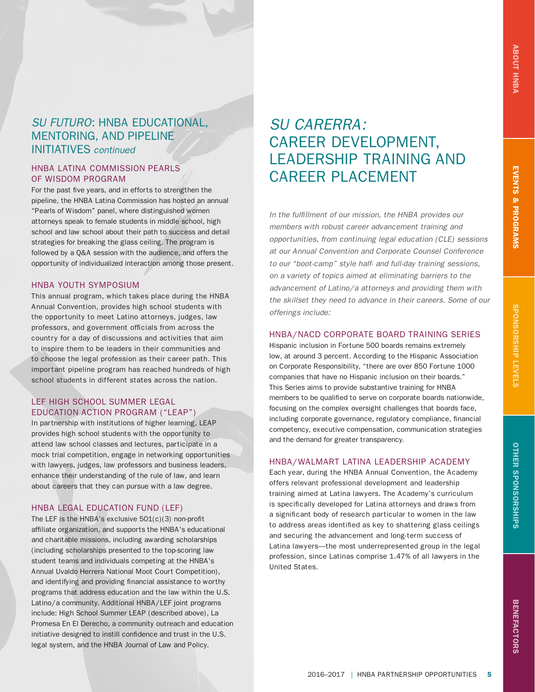### *SU FUTURO*: HNBA EDUCATIONAL, MENTORING, AND PIPELINE INITIATIVES *continued*

### HNBA LATINA COMMISSION PEARLS OF WISDOM PROGRAM

For the past five years, and in efforts to strengthen the pipeline, the HNBA Latina Commission has hosted an annual "Pearls of Wisdom" panel, where distinguished women attorneys speak to female students in middle school, high school and law school about their path to success and detail strategies for breaking the glass ceiling. The program is followed by a Q&A session with the audience, and offers the opportunity of individualized interaction among those present.

### HNBA YOUTH SYMPOSIUM

This annual program, which takes place during the HNBA Annual Convention, provides high school students with the opportunity to meet Latino attorneys, judges, law professors, and government officials from across the country for a day of discussions and activities that aim to inspire them to be leaders in their communities and to choose the legal profession as their career path. This important pipeline program has reached hundreds of high school students in different states across the nation.

### LEF HIGH SCHOOL SUMMER LEGAL EDUCATION ACTION PROGRAM ("LEAP")

In partnership with institutions of higher learning, LEAP provides high school students with the opportunity to attend law school classes and lectures, participate in a mock trial competition, engage in networking opportunities with lawyers, judges, law professors and business leaders, enhance their understanding of the rule of law, and learn about careers that they can pursue with a law degree.

### HNBA LEGAL EDUCATION FUND (LEF)

The LEF is the HNBA's exclusive 501(c)(3) non-profit affiliate organization, and supports the HNBA's educational and charitable missions, including awarding scholarships (including scholarships presented to the top-scoring law student teams and individuals competing at the HNBA's Annual Uvaldo Herrera National Moot Court Competition), and identifying and providing financial assistance to worthy programs that address education and the law within the U.S. Latino/a community. Additional HNBA/LEF joint programs include: High School Summer LEAP (described above), La Promesa En El Derecho, a community outreach and education initiative designed to instill confidence and trust in the U.S. legal system, and the HNBA Journal of Law and Policy.

# *SU CARERRA:* CAREER DEVELOPMENT, LEADERSHIP TRAINING AND CAREER PLACEMENT

*In the fulfillment of our mission, the HNBA provides our members with robust career advancement training and opportunities, from continuing legal education (CLE) sessions at our Annual Convention and Corporate Counsel Conference to our "boot-camp" style half- and full-day training sessions, on a variety of topics aimed at eliminating barriers to the advancement of Latino/a attorneys and providing them with the skillset they need to advance in their careers. Some of our offerings include:*

### HNBA/NACD CORPORATE BOARD TRAINING SERIES

Hispanic inclusion in Fortune 500 boards remains extremely low, at around 3 percent. According to the Hispanic Association on Corporate Responsibility, "there are over 850 Fortune 1000 companies that have no Hispanic inclusion on their boards." This Series aims to provide substantive training for HNBA members to be qualified to serve on corporate boards nationwide, focusing on the complex oversight challenges that boards face, including corporate governance, regulatory compliance, financial competency, executive compensation, communication strategies and the demand for greater transparency.

### HNBA/WALMART LATINA LEADERSHIP ACADEMY

Each year, during the HNBA Annual Convention, the Academy offers relevant professional development and leadership training aimed at Latina lawyers. The Academy's curriculum is specifically developed for Latina attorneys and draws from a significant body of research particular to women in the law to address areas identified as key to shattering glass ceilings and securing the advancement and long-term success of Latina lawyers—the most underrepresented group in the legal profession, since Latinas comprise 1.47% of all lawyers in the United States.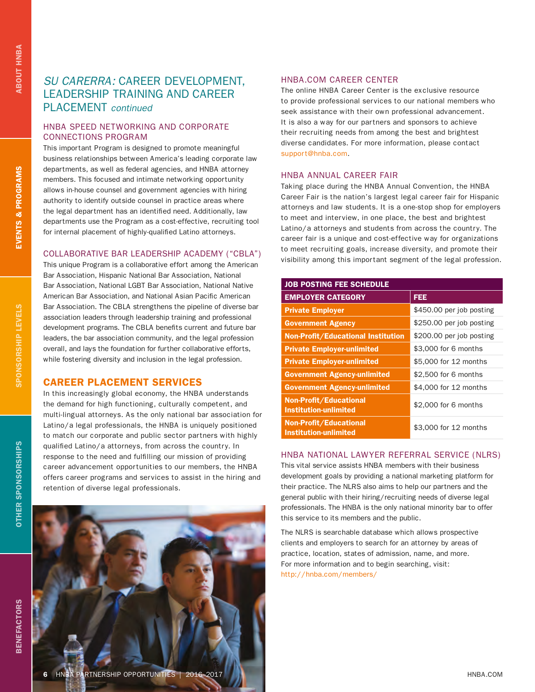**EVENTS & PROGRAMS** 

SPONSORSHIP LEVELS

## *SU CARERRA:* CAREER DEVELOPMENT, LEADERSHIP TRAINING AND CAREER PLACEMENT *continued*

### HNBA SPEED NETWORKING AND CORPORATE CONNECTIONS PROGRAM

This important Program is designed to promote meaningful business relationships between America's leading corporate law departments, as well as federal agencies, and HNBA attorney members. This focused and intimate networking opportunity allows in-house counsel and government agencies with hiring authority to identify outside counsel in practice areas where the legal department has an identified need. Additionally, law departments use the Program as a cost-effective, recruiting tool for internal placement of highly-qualified Latino attorneys.

### COLLABORATIVE BAR LEADERSHIP ACADEMY ("CBLA")

This unique Program is a collaborative effort among the American Bar Association, Hispanic National Bar Association, National Bar Association, National LGBT Bar Association, National Native American Bar Association, and National Asian Pacific American Bar Association. The CBLA strengthens the pipeline of diverse bar association leaders through leadership training and professional development programs. The CBLA benefits current and future bar leaders, the bar association community, and the legal profession overall, and lays the foundation for further collaborative efforts, while fostering diversity and inclusion in the legal profession.

### CAREER PLACEMENT SERVICES

In this increasingly global economy, the HNBA understands the demand for high functioning, culturally competent, and multi-lingual attorneys. As the only national bar association for Latino/a legal professionals, the HNBA is uniquely positioned to match our corporate and public sector partners with highly qualified Latino/a attorneys, from across the country. In response to the need and fulfilling our mission of providing career advancement opportunities to our members, the HNBA offers career programs and services to assist in the hiring and retention of diverse legal professionals.

### HNBA.COM CAREER CENTER

The online HNBA Career Center is the exclusive resource to provide professional services to our national members who seek assistance with their own professional advancement. It is also a way for our partners and sponsors to achieve their recruiting needs from among the best and brightest diverse candidates. For more information, please contact support@hnba.com.

### HNBA ANNUAL CAREER FAIR

Taking place during the HNBA Annual Convention, the HNBA Career Fair is the nation's largest legal career fair for Hispanic attorneys and law students. It is a one-stop shop for employers to meet and interview, in one place, the best and brightest Latino/a attorneys and students from across the country. The career fair is a unique and cost-effective way for organizations to meet recruiting goals, increase diversity, and promote their visibility among this important segment of the legal profession.

| <b>JOB POSTING FEE SCHEDULE</b>                        |                          |  |  |  |
|--------------------------------------------------------|--------------------------|--|--|--|
| <b>EMPLOYER CATEGORY</b>                               | <b>FEE</b>               |  |  |  |
| <b>Private Employer</b>                                | \$450.00 per job posting |  |  |  |
| <b>Government Agency</b>                               | \$250.00 per job posting |  |  |  |
| <b>Non-Profit/Educational Institution</b>              | \$200.00 per job posting |  |  |  |
| <b>Private Employer-unlimited</b>                      | \$3,000 for 6 months     |  |  |  |
| <b>Private Employer-unlimited</b>                      | \$5,000 for 12 months    |  |  |  |
| <b>Government Agency-unlimited</b>                     | \$2,500 for 6 months     |  |  |  |
| <b>Government Agency-unlimited</b>                     | \$4,000 for 12 months    |  |  |  |
| Non-Profit/Educational<br><b>Institution-unlimited</b> | \$2,000 for 6 months     |  |  |  |
| Non-Profit/Educational<br><b>Institution-unlimited</b> | \$3,000 for 12 months    |  |  |  |

### HNBA NATIONAL LAWYER REFERRAL SERVICE (NLRS)

This vital service assists HNBA members with their business development goals by providing a national marketing platform for their practice. The NLRS also aims to help our partners and the general public with their hiring/recruiting needs of diverse legal professionals. The HNBA is the only national minority bar to offer this service to its members and the public.

The NLRS is searchable database which allows prospective clients and employers to search for an attorney by areas of practice, location, states of admission, name, and more. For more information and to begin searching, visit: http://hnba.com/members/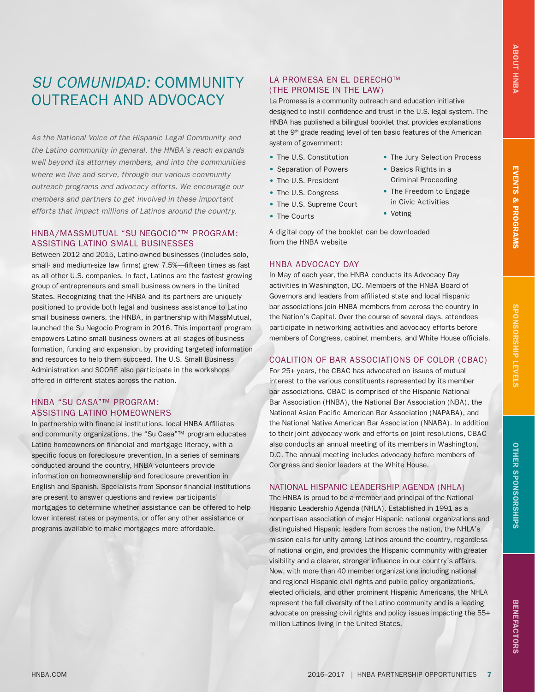# *SU COMUNIDAD:* COMMUNITY OUTREACH AND ADVOCACY

*As the National Voice of the Hispanic Legal Community and the Latino community in general, the HNBA's reach expands well beyond its attorney members, and into the communities where we live and serve, through our various community outreach programs and advocacy efforts. We encourage our members and partners to get involved in these important efforts that impact millions of Latinos around the country.* 

### HNBA/MASSMUTUAL "SU NEGOCIO"™ PROGRAM: ASSISTING LATINO SMALL BUSINESSES

Between 2012 and 2015, Latino-owned businesses (includes solo, small- and medium-size law firms) grew 7.5%—fifteen times as fast as all other U.S. companies. In fact, Latinos are the fastest growing group of entrepreneurs and small business owners in the United States. Recognizing that the HNBA and its partners are uniquely positioned to provide both legal and business assistance to Latino small business owners, the HNBA, in partnership with MassMutual, launched the Su Negocio Program in 2016. This important program empowers Latino small business owners at all stages of business formation, funding and expansion, by providing targeted information and resources to help them succeed. The U.S. Small Business Administration and SCORE also participate in the workshops offered in different states across the nation.

### HNBA "SU CASA"™ PROGRAM: ASSISTING LATINO HOMEOWNERS

In partnership with financial institutions, local HNBA Affiliates and community organizations, the "Su Casa"™ program educates Latino homeowners on financial and mortgage literacy, with a specific focus on foreclosure prevention. In a series of seminars conducted around the country, HNBA volunteers provide information on homeownership and foreclosure prevention in English and Spanish. Specialists from Sponsor financial institutions are present to answer questions and review participants' mortgages to determine whether assistance can be offered to help lower interest rates or payments, or offer any other assistance or programs available to make mortgages more affordable.

### LA PROMESA EN EL DERECHO™ (THE PROMISE IN THE LAW)

La Promesa is a community outreach and education initiative designed to instill confidence and trust in the U.S. legal system. The HNBA has published a bilingual booklet that provides explanations at the 9<sup>th</sup> grade reading level of ten basic features of the American system of government:

• The Jury Selection Process

• Basics Rights in a Criminal Proceeding • The Freedom to Engage in Civic Activities

• Voting

- The U.S. Constitution
- Separation of Powers
- The U.S. President
- The U.S. Congress
- The U.S. Supreme Court
- The Courts
- A digital copy of the booklet can be downloaded from the HNBA website

### HNBA ADVOCACY DAY

In May of each year, the HNBA conducts its Advocacy Day activities in Washington, DC. Members of the HNBA Board of Governors and leaders from affiliated state and local Hispanic bar associations join HNBA members from across the country in the Nation's Capital. Over the course of several days, attendees participate in networking activities and advocacy efforts before members of Congress, cabinet members, and White House officials.

### COALITION OF BAR ASSOCIATIONS OF COLOR (CBAC)

For 25+ years, the CBAC has advocated on issues of mutual interest to the various constituents represented by its member bar associations. CBAC is comprised of the Hispanic National Bar Association (HNBA), the National Bar Association (NBA), the National Asian Pacific American Bar Association (NAPABA), and the National Native American Bar Association (NNABA). In addition to their joint advocacy work and efforts on joint resolutions, CBAC also conducts an annual meeting of its members in Washington, D.C. The annual meeting includes advocacy before members of Congress and senior leaders at the White House.

### NATIONAL HISPANIC LEADERSHIP AGENDA (NHLA)

The HNBA is proud to be a member and principal of the National Hispanic Leadership Agenda (NHLA). Established in 1991 as a nonpartisan association of major Hispanic national organizations and distinguished Hispanic leaders from across the nation, the NHLA's mission calls for unity among Latinos around the country, regardless of national origin, and provides the Hispanic community with greater visibility and a clearer, stronger influence in our country's affairs. Now, with more than 40 member organizations including national and regional Hispanic civil rights and public policy organizations, elected officials, and other prominent Hispanic Americans, the NHLA represent the full diversity of the Latino community and is a leading advocate on pressing civil rights and policy issues impacting the 55+ million Latinos living in the United States.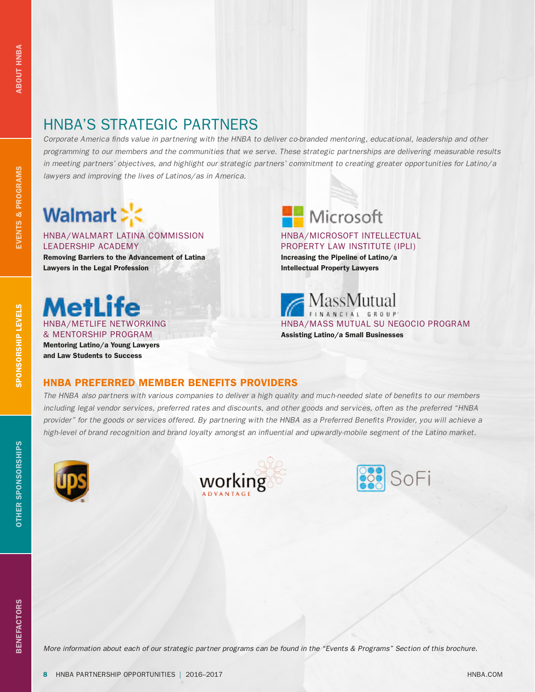# HNBA'S STRATEGIC PARTNERS

*Corporate America finds value in partnering with the HNBA to deliver co-branded mentoring, educational, leadership and other programming to our members and the communities that we serve. These strategic partnerships are delivering measurable results in meeting partners' objectives, and highlight our strategic partners' commitment to creating greater opportunities for Latino/a lawyers and improving the lives of Latinos/as in America.*

# Walmart > <

### HNBA/WALMART LATINA COMMISSION LEADERSHIP ACADEMY

Removing Barriers to the Advancement of Latina Lawyers in the Legal Profession

**AetLife** HNBA/METLIFE NETWORKING & MENTORSHIP PROGRAM Mentoring Latino/a Young Lawyers and Law Students to Success

Microsoft

### HNBA/MICROSOFT INTELLECTUAL PROPERTY LAW INSTITUTE (IPLI)

Increasing the Pipeline of Latino/a Intellectual Property Lawyers

MassMutual HNBA/MASS MUTUAL SU NEGOCIO PROGRAM Assisting Latino/a Small Businesses

### HNBA PREFERRED MEMBER BENEFITS PROVIDERS

*The HNBA also partners with various companies to deliver a high quality and much-needed slate of benefits to our members including legal vendor services, preferred rates and discounts, and other goods and services, often as the preferred "HNBA provider" for the goods or services offered. By partnering with the HNBA as a Preferred Benefits Provider, you will achieve a high-level of brand recognition and brand loyalty amongst an influential and upwardly-mobile segment of the Latino market.* 







**ABOUT HNBA** 

*More information about each of our strategic partner programs can be found in the "Events & Programs" Section of this brochure.*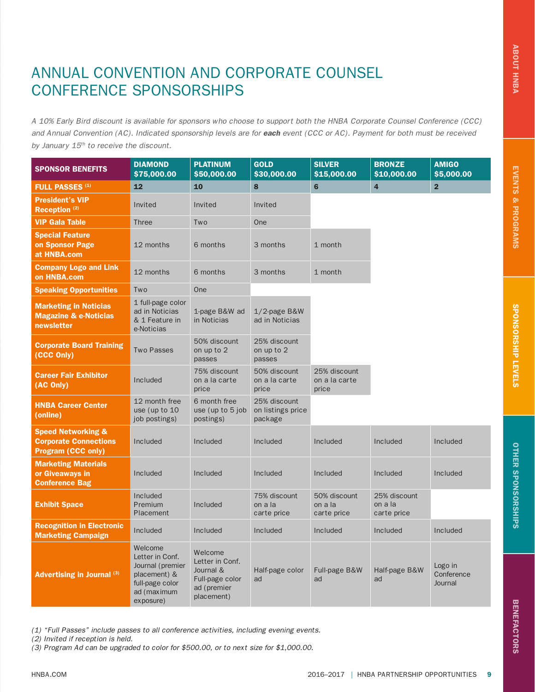# ANNUAL CONVENTION AND CORPORATE COUNSEL CONFERENCE SPONSORSHIPS

*A 10% Early Bird discount is available for sponsors who choose to support both the HNBA Corporate Counsel Conference (CCC) and Annual Convention (AC). Indicated sponsorship levels are for each event (CCC or AC). Payment for both must be received by January 15th to receive the discount.* 

| <b>SPONSOR BENEFITS</b>                                                                    | <b>DIAMOND</b>                                                                                                | <b>PLATINUM</b>                                                                         | <b>GOLD</b>                                  | <b>SILVER</b>                          | <b>BRONZE</b>                          | <b>AMIGO</b>                     |
|--------------------------------------------------------------------------------------------|---------------------------------------------------------------------------------------------------------------|-----------------------------------------------------------------------------------------|----------------------------------------------|----------------------------------------|----------------------------------------|----------------------------------|
|                                                                                            | \$75,000.00                                                                                                   | \$50,000.00                                                                             | \$30,000.00                                  | \$15,000.00                            | \$10,000.00                            | \$5,000.00                       |
| <b>FULL PASSES (1)</b>                                                                     | 12                                                                                                            | 10                                                                                      | 8                                            | 6                                      | $\overline{4}$                         | $\overline{2}$                   |
| <b>President's VIP</b><br>Reception <sup>(2)</sup>                                         | Invited                                                                                                       | Invited                                                                                 | Invited                                      |                                        |                                        |                                  |
| <b>VIP Gala Table</b>                                                                      | <b>Three</b>                                                                                                  | Two                                                                                     | One                                          |                                        |                                        |                                  |
| <b>Special Feature</b><br>on Sponsor Page<br>at HNBA.com                                   | 12 months                                                                                                     | 6 months                                                                                | 3 months                                     | 1 month                                |                                        |                                  |
| <b>Company Logo and Link</b><br>on HNBA.com                                                | 12 months                                                                                                     | 6 months                                                                                | 3 months                                     | 1 month                                |                                        |                                  |
| <b>Speaking Opportunities</b>                                                              | Two                                                                                                           | One                                                                                     |                                              |                                        |                                        |                                  |
| <b>Marketing in Noticias</b><br><b>Magazine &amp; e-Noticias</b><br>newsletter             | 1 full-page color<br>ad in Noticias<br>& 1 Feature in<br>e-Noticias                                           | 1-page B&W ad<br>in Noticias                                                            | 1/2-page B&W<br>ad in Noticias               |                                        |                                        |                                  |
| <b>Corporate Board Training</b><br>(CCC Only)                                              | <b>Two Passes</b>                                                                                             | 50% discount<br>on up to 2<br>passes                                                    | 25% discount<br>on up to 2<br>passes         |                                        |                                        |                                  |
| <b>Career Fair Exhibitor</b><br>(AC Only)                                                  | Included                                                                                                      | 75% discount<br>on a la carte<br>price                                                  | 50% discount<br>on a la carte<br>price       | 25% discount<br>on a la carte<br>price |                                        |                                  |
| <b>HNBA Career Center</b><br>(online)                                                      | 12 month free<br>use (up to 10)<br>job postings)                                                              | 6 month free<br>use (up to $5$ job<br>postings)                                         | 25% discount<br>on listings price<br>package |                                        |                                        |                                  |
| <b>Speed Networking &amp;</b><br><b>Corporate Connections</b><br><b>Program (CCC only)</b> | Included                                                                                                      | Included                                                                                | Included                                     | Included                               | Included                               | Included                         |
| <b>Marketing Materials</b><br>or Giveaways in<br><b>Conference Bag</b>                     | Included                                                                                                      | Included                                                                                | Included                                     | Included                               | Included                               | Included                         |
| <b>Exhibit Space</b>                                                                       | Included<br>Premium<br>Placement                                                                              | Included                                                                                | 75% discount<br>on a la<br>carte price       | 50% discount<br>on a la<br>carte price | 25% discount<br>on a la<br>carte price |                                  |
| <b>Recognition in Electronic</b><br><b>Marketing Campaign</b>                              | Included                                                                                                      | Included                                                                                | Included                                     | Included                               | Included                               | Included                         |
| <b>Advertising in Journal (3)</b>                                                          | Welcome<br>Letter in Conf.<br>Journal (premier<br>placement) &<br>full-page color<br>ad (maximum<br>exposure) | Welcome<br>Letter in Conf.<br>Journal &<br>Full-page color<br>ad (premier<br>placement) | Half-page color<br>ad                        | Full-page B&W<br>ad                    | Half-page B&W<br>ad                    | Logo in<br>Conference<br>Journal |

*(1) "Full Passes" include passes to all conference activities, including evening events.*

*(2) Invited if reception is held.*

*(3) Program Ad can be upgraded to color for \$500.00, or to next size for \$1,000.00.*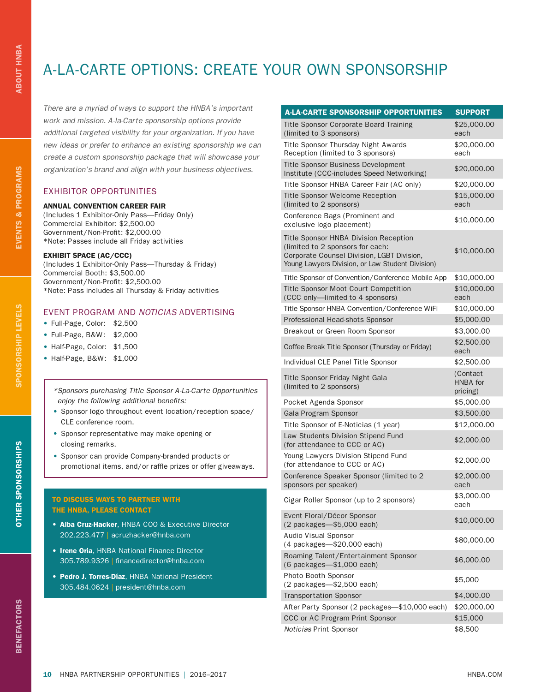# A-LA-CARTE OPTIONS: CREATE YOUR OWN SPONSORSHIP

*There are a myriad of ways to support the HNBA's important work and mission. A-la-Carte sponsorship options provide additional targeted visibility for your organization. If you have new ideas or prefer to enhance an existing sponsorship we can create a custom sponsorship package that will showcase your organization's brand and align with your business objectives.*

### EXHIBITOR OPPORTUNITIES

### ANNUAL CONVENTION CAREER FAIR

(Includes 1 Exhibitor-Only Pass—Friday Only) Commercial Exhibitor: \$2,500.00 Government/Non-Profit: \$2,000.00 \*Note: Passes include all Friday activities

### EXHIBIT SPACE (AC/CCC)

(Includes 1 Exhibitor-Only Pass—Thursday & Friday) Commercial Booth: \$3,500.00 Government/Non-Profit: \$2,500.00 \*Note: Pass includes all Thursday & Friday activities

### EVENT PROGRAM AND *NOTICIAS* ADVERTISING

- Full-Page, Color: \$2,500
- Full-Page, B&W: \$2,000
- Half-Page, Color: \$1,500
- Half-Page, B&W: \$1,000

*\*Sponsors purchasing Title Sponsor A-La-Carte Opportunities enjoy the following additional benefits:*

- Sponsor logo throughout event location/reception space/ CLE conference room.
- Sponsor representative may make opening or closing remarks.
- Sponsor can provide Company-branded products or promotional items, and/or raffle prizes or offer giveaways.

### TO DISCUSS WAYS TO PARTNER WITH THE HNBA, PLEASE CONTACT

- Alba Cruz-Hacker, HNBA COO & Executive Director 202.223.477 | acruzhacker@hnba.com
- Irene Oria, HNBA National Finance Director 305.789.9326 | financedirector@hnba.com
- Pedro J. Torres-Díaz, HNBA National President 305.484.0624 | president@hnba.com

| <b>A-LA-CARTE SPONSORSHIP OPPORTUNITIES</b>                                                                                                                                        | <b>SUPPORT</b>                   |
|------------------------------------------------------------------------------------------------------------------------------------------------------------------------------------|----------------------------------|
| <b>Title Sponsor Corporate Board Training</b><br>(limited to 3 sponsors)                                                                                                           | \$25,000.00<br>each              |
| Title Sponsor Thursday Night Awards<br>Reception (limited to 3 sponsors)                                                                                                           | \$20,000.00<br>each              |
| Title Sponsor Business Development<br>Institute (CCC-includes Speed Networking)                                                                                                    | \$20,000.00                      |
| Title Sponsor HNBA Career Fair (AC only)                                                                                                                                           | \$20,000.00                      |
| <b>Title Sponsor Welcome Reception</b><br>(limited to 2 sponsors)                                                                                                                  | \$15,000.00<br>each              |
| Conference Bags (Prominent and<br>exclusive logo placement)                                                                                                                        | \$10,000.00                      |
| <b>Title Sponsor HNBA Division Reception</b><br>(limited to 2 sponsors for each:<br>Corporate Counsel Division, LGBT Division,<br>Young Lawyers Division, or Law Student Division) | \$10,000.00                      |
| Title Sponsor of Convention/Conference Mobile App                                                                                                                                  | \$10,000.00                      |
| <b>Title Sponsor Moot Court Competition</b><br>(CCC only-limited to 4 sponsors)                                                                                                    | \$10,000.00<br>each              |
| Title Sponsor HNBA Convention/Conference WiFi                                                                                                                                      | \$10,000.00                      |
| Professional Head-shots Sponsor                                                                                                                                                    | \$5,000.00                       |
| Breakout or Green Room Sponsor                                                                                                                                                     | \$3,000.00                       |
| Coffee Break Title Sponsor (Thursday or Friday)                                                                                                                                    | \$2,500.00<br>each               |
| Individual CLE Panel Title Sponsor                                                                                                                                                 | \$2,500.00                       |
| Title Sponsor Friday Night Gala<br>(limited to 2 sponsors)                                                                                                                         | (Contact<br>HNBA for<br>pricing) |
| Pocket Agenda Sponsor                                                                                                                                                              | \$5,000.00                       |
| Gala Program Sponsor                                                                                                                                                               | \$3,500.00                       |
| Title Sponsor of E-Noticias (1 year)                                                                                                                                               | \$12,000.00                      |
| Law Students Division Stipend Fund<br>(for attendance to CCC or AC)                                                                                                                | \$2,000.00                       |
| Young Lawyers Division Stipend Fund<br>(for attendance to CCC or AC)                                                                                                               | \$2,000.00                       |
| Conference Speaker Sponsor (limited to 2<br>sponsors per speaker)                                                                                                                  | \$2,000.00<br>each               |
| Cigar Roller Sponsor (up to 2 sponsors)                                                                                                                                            | \$3,000.00<br>each               |
| Event Floral/Décor Sponsor<br>(2 packages-\$5,000 each)                                                                                                                            | \$10,000.00                      |
| Audio Visual Sponsor<br>(4 packages-\$20,000 each)                                                                                                                                 | \$80,000.00                      |
| Roaming Talent/Entertainment Sponsor<br>(6 packages-\$1,000 each)                                                                                                                  | \$6,000.00                       |
| Photo Booth Sponsor<br>(2 packages-\$2,500 each)                                                                                                                                   | \$5,000                          |
| <b>Transportation Sponsor</b>                                                                                                                                                      | \$4,000.00                       |
| After Party Sponsor (2 packages-\$10,000 each)                                                                                                                                     | \$20,000.00                      |
| CCC or AC Program Print Sponsor                                                                                                                                                    | \$15,000                         |
| Noticias Print Sponsor                                                                                                                                                             | \$8,500                          |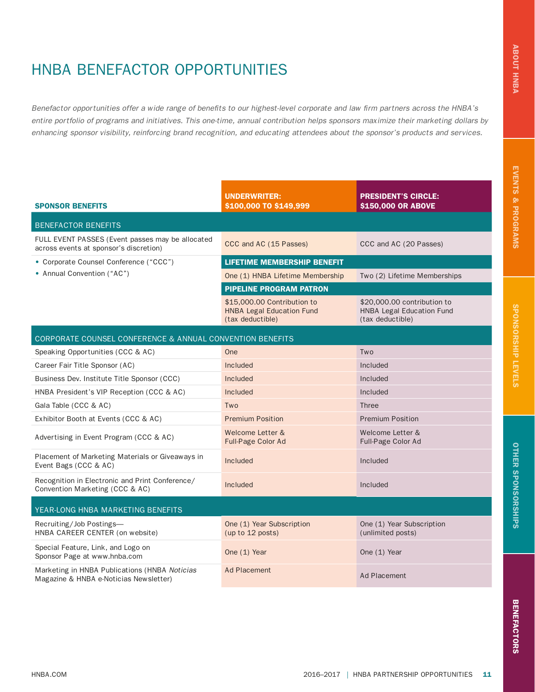# HNBA BENEFACTOR OPPORTUNITIES

*Benefactor opportunities offer a wide range of benefits to our highest-level corporate and law firm partners across the HNBA's entire portfolio of programs and initiatives. This one-time, annual contribution helps sponsors maximize their marketing dollars by enhancing sponsor visibility, reinforcing brand recognition, and educating attendees about the sponsor's products and services.*

| <b>SPONSOR BENEFITS</b>                                                                    | <b>UNDERWRITER:</b><br>\$100,000 TO \$149,999                                       | <b>PRESIDENT'S CIRCLE:</b><br>\$150,000 OR ABOVE                                    |  |  |  |  |
|--------------------------------------------------------------------------------------------|-------------------------------------------------------------------------------------|-------------------------------------------------------------------------------------|--|--|--|--|
| <b>BENEFACTOR BENEFITS</b>                                                                 |                                                                                     |                                                                                     |  |  |  |  |
| FULL EVENT PASSES (Event passes may be allocated<br>across events at sponsor's discretion) | CCC and AC (15 Passes)                                                              | CCC and AC (20 Passes)                                                              |  |  |  |  |
| • Corporate Counsel Conference ("CCC")                                                     | <b>LIFETIME MEMBERSHIP BENEFIT</b>                                                  |                                                                                     |  |  |  |  |
| • Annual Convention ("AC")                                                                 | One (1) HNBA Lifetime Membership                                                    | Two (2) Lifetime Memberships                                                        |  |  |  |  |
|                                                                                            | <b>PIPELINE PROGRAM PATRON</b>                                                      |                                                                                     |  |  |  |  |
|                                                                                            | \$15,000.00 Contribution to<br><b>HNBA Legal Education Fund</b><br>(tax deductible) | \$20,000.00 contribution to<br><b>HNBA Legal Education Fund</b><br>(tax deductible) |  |  |  |  |
| CORPORATE COUNSEL CONFERENCE & ANNUAL CONVENTION BENEFITS                                  |                                                                                     |                                                                                     |  |  |  |  |
| Speaking Opportunities (CCC & AC)                                                          | One                                                                                 | Two                                                                                 |  |  |  |  |
| Career Fair Title Sponsor (AC)                                                             | Included                                                                            | Included                                                                            |  |  |  |  |
| Business Dev. Institute Title Sponsor (CCC)                                                | Included                                                                            | Included                                                                            |  |  |  |  |
| HNBA President's VIP Reception (CCC & AC)                                                  | Included                                                                            | Included                                                                            |  |  |  |  |
| Gala Table (CCC & AC)                                                                      | Two                                                                                 | <b>Three</b>                                                                        |  |  |  |  |
| Exhibitor Booth at Events (CCC & AC)                                                       | <b>Premium Position</b>                                                             | <b>Premium Position</b>                                                             |  |  |  |  |
| Advertising in Event Program (CCC & AC)                                                    | Welcome Letter &<br><b>Full-Page Color Ad</b>                                       | Welcome Letter &<br>Full-Page Color Ad                                              |  |  |  |  |
| Placement of Marketing Materials or Giveaways in<br>Event Bags (CCC & AC)                  | Included                                                                            | Included                                                                            |  |  |  |  |
| Recognition in Electronic and Print Conference/<br>Convention Marketing (CCC & AC)         | Included                                                                            | Included                                                                            |  |  |  |  |
| YEAR-LONG HNBA MARKETING BENEFITS                                                          |                                                                                     |                                                                                     |  |  |  |  |
| Recruiting/Job Postings-<br>HNBA CAREER CENTER (on website)                                | One (1) Year Subscription<br>(up to 12 posts)                                       | One (1) Year Subscription<br>(unlimited posts)                                      |  |  |  |  |
| Special Feature, Link, and Logo on<br>Sponsor Page at www.hnba.com                         | One (1) Year                                                                        | One (1) Year                                                                        |  |  |  |  |
| Marketing in HNBA Publications (HNBA Noticias<br>Magazine & HNBA e-Noticias Newsletter)    | <b>Ad Placement</b>                                                                 | <b>Ad Placement</b>                                                                 |  |  |  |  |